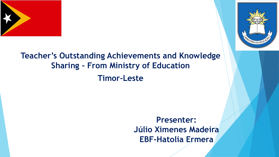



### **Teacher's Outstanding Achievements and Knowledge Sharing - From Ministry of Education Timor-Leste**

**Presenter: Júlio Ximenes Madeira EBF-Hatolia Ermera**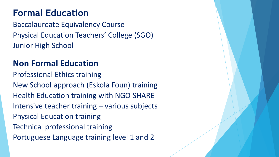## **Formal Education**

Baccalaureate Equivalency Course Physical Education Teachers' College (SGO) Junior High School

#### **Non Formal Education**

Professional Ethics training New School approach (Eskola Foun) training Health Education training with NGO SHARE Intensive teacher training – various subjects Physical Education training Technical professional training Portuguese Language training level 1 and 2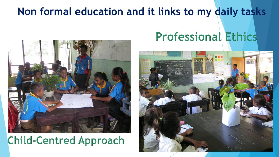## **Non formal education and it links to my daily tasks**



## **Child-Centred Approach**

# **Professional Ethics**

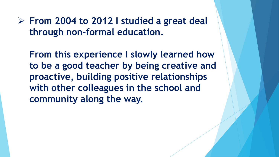**From 2004 to 2012 I studied a great deal through non-formal education.** 

**From this experience I slowly learned how to be a good teacher by being creative and proactive, building positive relationships with other colleagues in the school and community along the way.**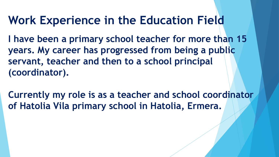# **Work Experience in the Education Field**

**I have been a primary school teacher for more than 15 years. My career has progressed from being a public servant, teacher and then to a school principal (coordinator).** 

**Currently my role is as a teacher and school coordinator of Hatolia Vila primary school in Hatolia, Ermera.**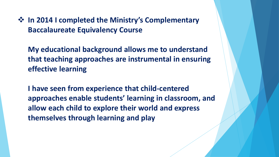$\diamond$  **In 2014 I completed the Ministry's Complementary Baccalaureate Equivalency Course**

**My educational background allows me to understand that teaching approaches are instrumental in ensuring effective learning**

**I have seen from experience that child-centered approaches enable students' learning in classroom, and allow each child to explore their world and express themselves through learning and play**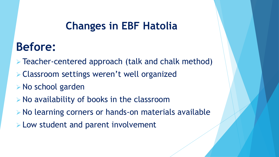## **Changes in EBF Hatolia**

# **Before:**

- **Example 2** Teacher-centered approach (talk and chalk method)
- Classroom settings weren't well organized
- **▶ No school garden**
- $\triangleright$  No availability of books in the classroom
- No learning corners or hands-on materials available
- **Low student and parent involvement**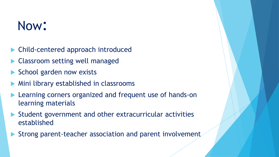# Now:

- Child-centered approach introduced
- Classroom setting well managed
- School garden now exists
- Mini library established in classrooms
- Learning corners organized and frequent use of hands-on learning materials
- Student government and other extracurricular activities established
- Strong parent-teacher association and parent involvement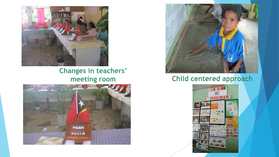

#### **Changes in teachers' meeting room**





#### Child centered approach

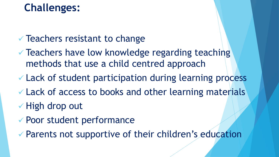## **Challenges:**

### $\checkmark$  Teachers resistant to change

- Teachers have low knowledge regarding teaching methods that use a child centred approach
- Lack of student participation during learning process
- Lack of access to books and other learning materials
- $\checkmark$  High drop out
- Poor student performance
- Parents not supportive of their children's education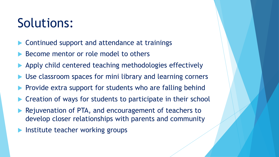# Solutions:

- Continued support and attendance at trainings
- Become mentor or role model to others
- Apply child centered teaching methodologies effectively
- Use classroom spaces for mini library and learning corners
- Provide extra support for students who are falling behind
- Creation of ways for students to participate in their school
- Rejuvenation of PTA, and encouragement of teachers to develop closer relationships with parents and community
- Institute teacher working groups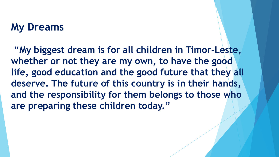### **My Dreams**

**"My biggest dream is for all children in Timor-Leste, whether or not they are my own, to have the good life, good education and the good future that they all deserve. The future of this country is in their hands, and the responsibility for them belongs to those who are preparing these children today."**